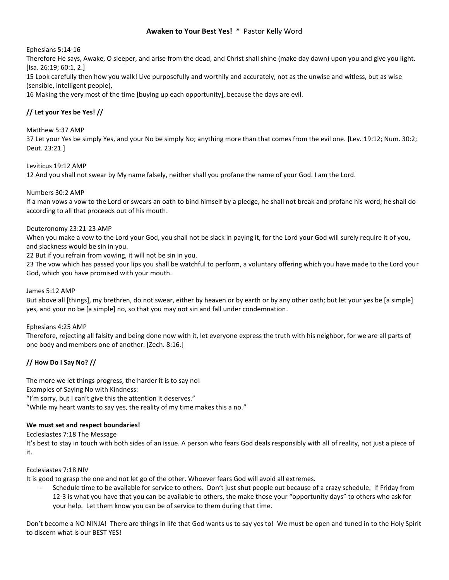# **Awaken to Your Best Yes! \*** Pastor Kelly Word

## Ephesians 5:14-16

Therefore He says, Awake, O sleeper, and arise from the dead, and Christ shall shine (make day dawn) upon you and give you light. [Isa. 26:19; 60:1, 2.]

15 Look carefully then how you walk! Live purposefully and worthily and accurately, not as the unwise and witless, but as wise (sensible, intelligent people),

16 Making the very most of the time [buying up each opportunity], because the days are evil.

# **// Let your Yes be Yes! //**

### Matthew 5:37 AMP

37 Let your Yes be simply Yes, and your No be simply No; anything more than that comes from the evil one. [Lev. 19:12; Num. 30:2; Deut. 23:21.]

### Leviticus 19:12 AMP

12 And you shall not swear by My name falsely, neither shall you profane the name of your God. I am the Lord.

### Numbers 30:2 AMP

If a man vows a vow to the Lord or swears an oath to bind himself by a pledge, he shall not break and profane his word; he shall do according to all that proceeds out of his mouth.

### Deuteronomy 23:21-23 AMP

When you make a vow to the Lord your God, you shall not be slack in paying it, for the Lord your God will surely require it of you, and slackness would be sin in you.

22 But if you refrain from vowing, it will not be sin in you.

23 The vow which has passed your lips you shall be watchful to perform, a voluntary offering which you have made to the Lord your God, which you have promised with your mouth.

#### James 5:12 AMP

But above all [things], my brethren, do not swear, either by heaven or by earth or by any other oath; but let your yes be [a simple] yes, and your no be [a simple] no, so that you may not sin and fall under condemnation.

## Ephesians 4:25 AMP

Therefore, rejecting all falsity and being done now with it, let everyone express the truth with his neighbor, for we are all parts of one body and members one of another. [Zech. 8:16.]

# **// How Do I Say No? //**

The more we let things progress, the harder it is to say no! Examples of Saying No with Kindness: "I'm sorry, but I can't give this the attention it deserves." "While my heart wants to say yes, the reality of my time makes this a no."

## **We must set and respect boundaries!**

#### Ecclesiastes 7:18 The Message

It's best to stay in touch with both sides of an issue. A person who fears God deals responsibly with all of reality, not just a piece of it.

#### Ecclesiastes 7:18 NIV

It is good to grasp the one and not let go of the other. Whoever fears God will avoid all extremes.

Schedule time to be available for service to others. Don't just shut people out because of a crazy schedule. If Friday from 12-3 is what you have that you can be available to others, the make those your "opportunity days" to others who ask for your help. Let them know you can be of service to them during that time.

Don't become a NO NINJA! There are things in life that God wants us to say yes to! We must be open and tuned in to the Holy Spirit to discern what is our BEST YES!